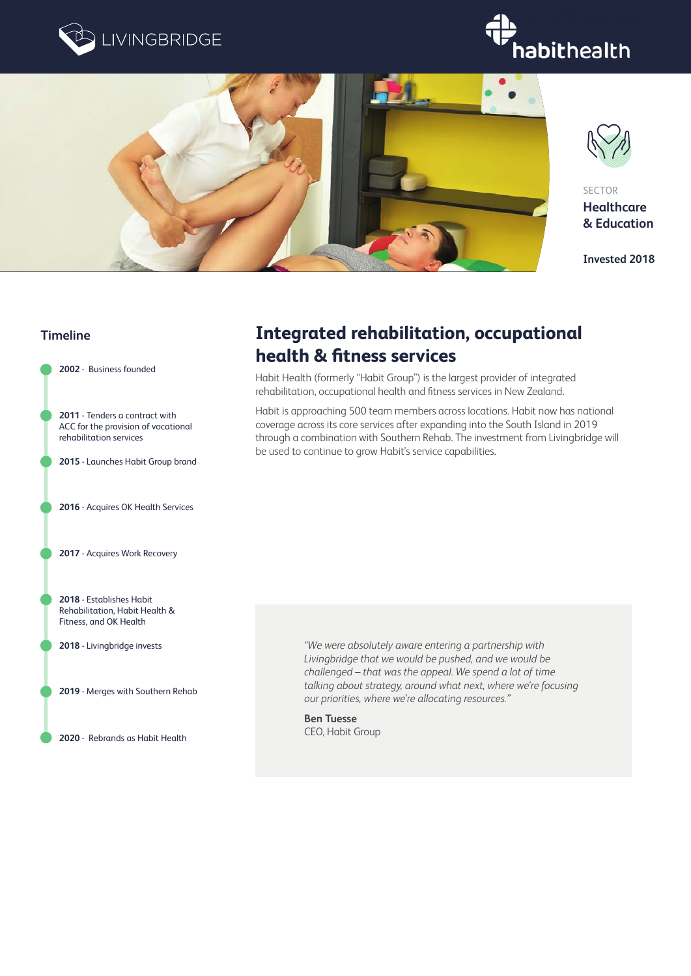







**SECTOR Healthcare & Education**

**Invested 2018**

### **Timeline**

**2002** - Business founded

**2011** - Tenders a contract with ACC for the provision of vocational rehabilitation services

**2015** - Launches Habit Group brand

**2016** - Acquires OK Health Services

**2017** - Acquires Work Recovery

**2018** - Establishes Habit Rehabilitation, Habit Health & Fitness, and OK Health

**2018** - Livingbridge invests

**2019** - Merges with Southern Rehab

**2020** - Rebrands as Habit Health

## **Integrated rehabilitation, occupational health & fitness services**

Habit Health (formerly "Habit Group") is the largest provider of integrated rehabilitation, occupational health and fitness services in New Zealand.

Habit is approaching 500 team members across locations. Habit now has national coverage across its core services after expanding into the South Island in 2019 through a combination with Southern Rehab. The investment from Livingbridge will be used to continue to grow Habit's service capabilities.

> *"We were absolutely aware entering a partnership with Livingbridge that we would be pushed, and we would be challenged – that was the appeal. We spend a lot of time talking about strategy, around what next, where we're focusing our priorities, where we're allocating resources."*

**Ben Tuesse** CEO, Habit Group